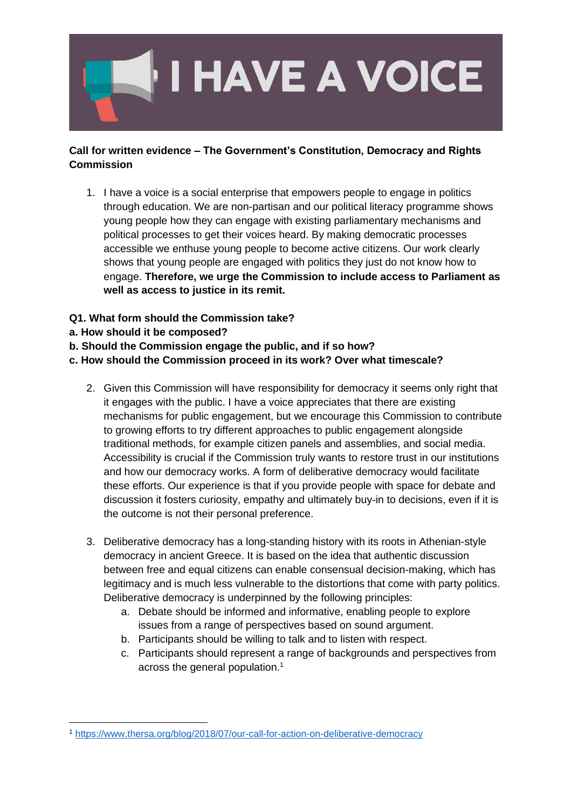

## **Call for written evidence – The Government's Constitution, Democracy and Rights Commission**

- 1. I have a voice is a social enterprise that empowers people to engage in politics through education. We are non-partisan and our political literacy programme shows young people how they can engage with existing parliamentary mechanisms and political processes to get their voices heard. By making democratic processes accessible we enthuse young people to become active citizens. Our work clearly shows that young people are engaged with politics they just do not know how to engage. **Therefore, we urge the Commission to include access to Parliament as well as access to justice in its remit.**
- **Q1. What form should the Commission take?**
- **a. How should it be composed?**
- **b. Should the Commission engage the public, and if so how?**
- **c. How should the Commission proceed in its work? Over what timescale?**
	- 2. Given this Commission will have responsibility for democracy it seems only right that it engages with the public. I have a voice appreciates that there are existing mechanisms for public engagement, but we encourage this Commission to contribute to growing efforts to try different approaches to public engagement alongside traditional methods, for example citizen panels and assemblies, and social media. Accessibility is crucial if the Commission truly wants to restore trust in our institutions and how our democracy works. A form of deliberative democracy would facilitate these efforts. Our experience is that if you provide people with space for debate and discussion it fosters curiosity, empathy and ultimately buy-in to decisions, even if it is the outcome is not their personal preference.
	- 3. Deliberative democracy has a long-standing history with its roots in Athenian-style democracy in ancient Greece. It is based on the idea that authentic discussion between free and equal citizens can enable consensual decision-making, which has legitimacy and is much less vulnerable to the distortions that come with party politics. Deliberative democracy is underpinned by the following principles:
		- a. Debate should be informed and informative, enabling people to explore issues from a range of perspectives based on sound argument.
		- b. Participants should be willing to talk and to listen with respect.
		- c. Participants should represent a range of backgrounds and perspectives from across the general population.<sup>1</sup>

<sup>1</sup> <https://www.thersa.org/blog/2018/07/our-call-for-action-on-deliberative-democracy>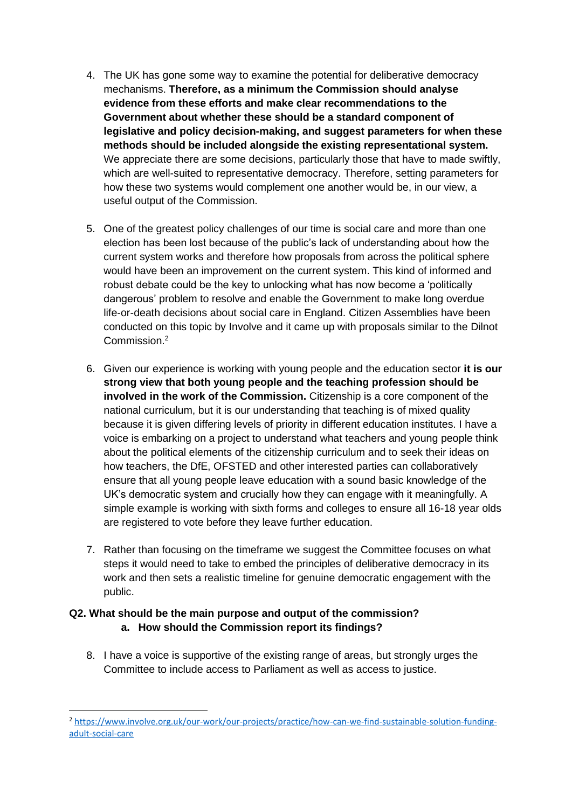- 4. The UK has gone some way to examine the potential for deliberative democracy mechanisms. **Therefore, as a minimum the Commission should analyse evidence from these efforts and make clear recommendations to the Government about whether these should be a standard component of legislative and policy decision-making, and suggest parameters for when these methods should be included alongside the existing representational system.** We appreciate there are some decisions, particularly those that have to made swiftly, which are well-suited to representative democracy. Therefore, setting parameters for how these two systems would complement one another would be, in our view, a useful output of the Commission.
- 5. One of the greatest policy challenges of our time is social care and more than one election has been lost because of the public's lack of understanding about how the current system works and therefore how proposals from across the political sphere would have been an improvement on the current system. This kind of informed and robust debate could be the key to unlocking what has now become a 'politically dangerous' problem to resolve and enable the Government to make long overdue life-or-death decisions about social care in England. Citizen Assemblies have been conducted on this topic by Involve and it came up with proposals similar to the Dilnot Commission<sup>2</sup>
- 6. Given our experience is working with young people and the education sector **it is our strong view that both young people and the teaching profession should be involved in the work of the Commission.** Citizenship is a core component of the national curriculum, but it is our understanding that teaching is of mixed quality because it is given differing levels of priority in different education institutes. I have a voice is embarking on a project to understand what teachers and young people think about the political elements of the citizenship curriculum and to seek their ideas on how teachers, the DfE, OFSTED and other interested parties can collaboratively ensure that all young people leave education with a sound basic knowledge of the UK's democratic system and crucially how they can engage with it meaningfully. A simple example is working with sixth forms and colleges to ensure all 16-18 year olds are registered to vote before they leave further education.
- 7. Rather than focusing on the timeframe we suggest the Committee focuses on what steps it would need to take to embed the principles of deliberative democracy in its work and then sets a realistic timeline for genuine democratic engagement with the public.

## **Q2. What should be the main purpose and output of the commission? a. How should the Commission report its findings?**

8. I have a voice is supportive of the existing range of areas, but strongly urges the Committee to include access to Parliament as well as access to justice.

<sup>2</sup> [https://www.involve.org.uk/our-work/our-projects/practice/how-can-we-find-sustainable-solution-funding](https://www.involve.org.uk/our-work/our-projects/practice/how-can-we-find-sustainable-solution-funding-adult-social-care)[adult-social-care](https://www.involve.org.uk/our-work/our-projects/practice/how-can-we-find-sustainable-solution-funding-adult-social-care)